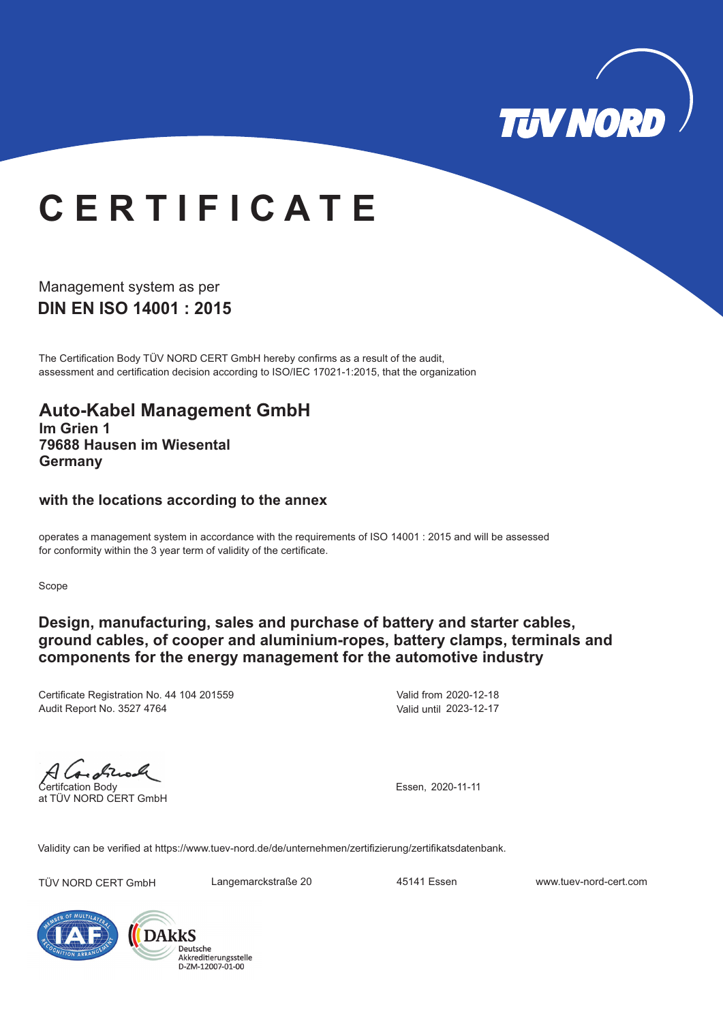

# **C E R T I F I C A T E**

**DIN EN ISO 14001 : 2015** Management system as per

The Certification Body TÜV NORD CERT GmbH hereby confirms as a result of the audit, assessment and certification decision according to ISO/IEC 17021-1:2015, that the organization

#### **Auto-Kabel Management GmbH Im Grien 1 79688 Hausen im Wiesental Germany**

#### **with the locations according to the annex**

operates a management system in accordance with the requirements of ISO 14001 : 2015 and will be assessed for conformity within the 3 year term of validity of the certificate.

Scope

### **Design, manufacturing, sales and purchase of battery and starter cables, ground cables, of cooper and aluminium-ropes, battery clamps, terminals and components for the energy management for the automotive industry**

Certificate Registration No. 44 104 201559 Audit Report No. 3527 4764

Valid from 2020-12-18 Valid until 2023-12-17

A Coronal Certifcation Body

at TÜV NORD CERT GmbH

Essen, 2020-11-11

Validity can be verified at https://www.tuev-nord.de/de/unternehmen/zertifizierung/zertifikatsdatenbank.

TÜV NORD CERT GmbH Langemarckstraße 20 45141 Essen www.tuev-nord-cert.com



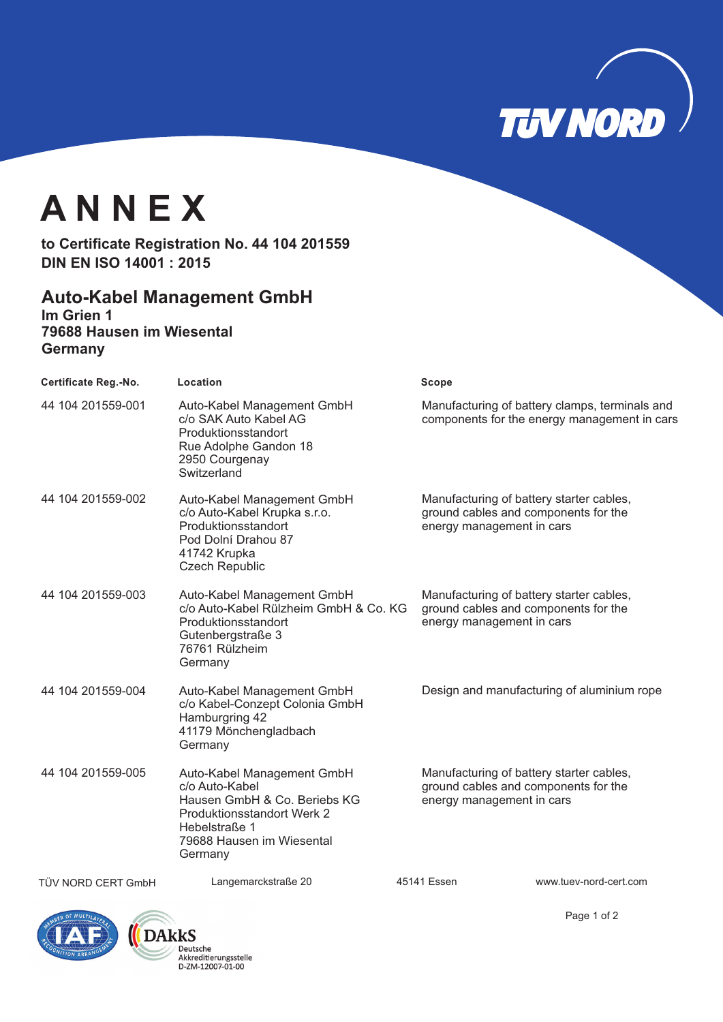

## **A N N E X**

to Certificate Registration No. 44 104 201559 **DIN EN ISO 14001 : 2015**

### **Auto-Kabel Management GmbH**

**Im Grien 1 79688 Hausen im Wiesental Germany**

| <b>Certificate Reg.-No.</b> | Location                                                                                                                                                            | Scope                                                                                                         |                                                                                                |
|-----------------------------|---------------------------------------------------------------------------------------------------------------------------------------------------------------------|---------------------------------------------------------------------------------------------------------------|------------------------------------------------------------------------------------------------|
| 44 104 201559-001           | Auto-Kabel Management GmbH<br>c/o SAK Auto Kabel AG<br>Produktionsstandort<br>Rue Adolphe Gandon 18<br>2950 Courgenay<br>Switzerland                                |                                                                                                               | Manufacturing of battery clamps, terminals and<br>components for the energy management in cars |
| 44 104 201559-002           | Auto-Kabel Management GmbH<br>c/o Auto-Kabel Krupka s.r.o.<br>Produktionsstandort<br>Pod Dolní Drahou 87<br>41742 Krupka<br><b>Czech Republic</b>                   | Manufacturing of battery starter cables,<br>ground cables and components for the<br>energy management in cars |                                                                                                |
| 44 104 201559-003           | Auto-Kabel Management GmbH<br>c/o Auto-Kabel Rülzheim GmbH & Co. KG<br>Produktionsstandort<br>Gutenbergstraße 3<br>76761 Rülzheim<br>Germany                        | Manufacturing of battery starter cables,<br>ground cables and components for the<br>energy management in cars |                                                                                                |
| 44 104 201559-004           | Auto-Kabel Management GmbH<br>c/o Kabel-Conzept Colonia GmbH<br>Hamburgring 42<br>41179 Mönchengladbach<br>Germany                                                  | Design and manufacturing of aluminium rope                                                                    |                                                                                                |
| 44 104 201559-005           | Auto-Kabel Management GmbH<br>c/o Auto-Kabel<br>Hausen GmbH & Co. Beriebs KG<br>Produktionsstandort Werk 2<br>Hebelstraße 1<br>79688 Hausen im Wiesental<br>Germany | Manufacturing of battery starter cables,<br>ground cables and components for the<br>energy management in cars |                                                                                                |
| TÜV NORD CERT GmbH          | Langemarckstraße 20                                                                                                                                                 | 45141 Essen                                                                                                   | www.tuev-nord-cert.com                                                                         |





Page 1 of 2